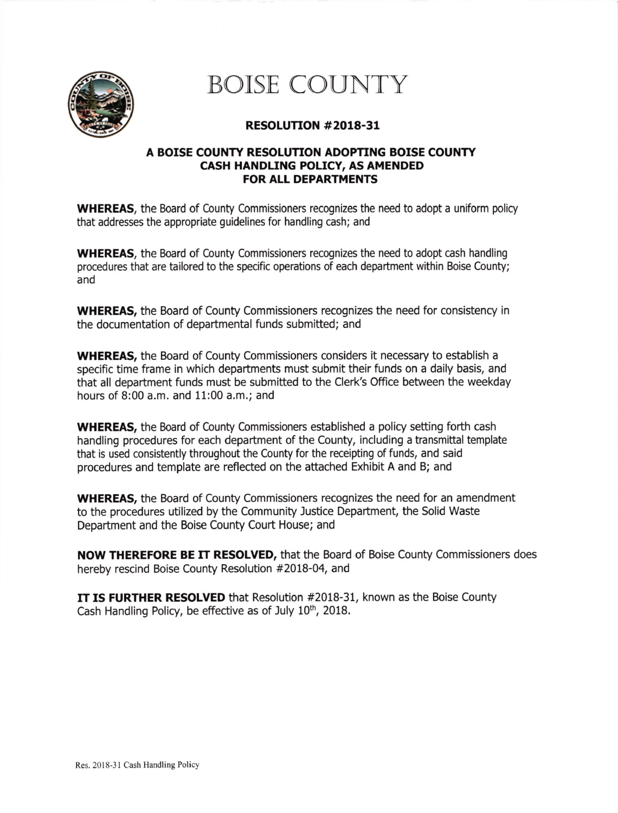

## BOISE COUNTY

## RESOLUTION #2018-31

## A BOISE COUNTY RESOLUTION ADOPTING BOISE COUNTY CASH HANDLING POLICY, AS AMENDED FOR ALL DEPARTMENTS

**WHEREAS**, the Board of County Commissioners recognizes the need to adopt a uniform policy that addresses the appropriate guidelines for handling cash; and

WHEREAS, the Board of County Commissioners recognizes the need to adopt cash handling procedures that are tailored to the specific operations of each department within Boise County; and

WHEREAS, the Board of County Commissioners recognizes the need for consistency in the documentation of departmental funds submitted; and

WHEREAS, the Board of County Commissioners considers it necessary to establish a specific time frame in which departments must submit their funds on a daily basis, and that all department funds must be submitted to the Clerk's Office between the weekday hours of 8:00 a.m. and 11:00 a.m.; and

WHEREAS, the Board of County Commissioners established a policy setting forth cash handling procedures for each department of the County, including a transmittal template that is used consistently throughout the County for the receipting of funds, and said procedures and template are reflected on the attached Exhibit A and B; and

WHEREAS, the Board of County Commissioners recognizes the need for an amendment to the procedures utilized by the Community Justice Depatment, the Solid Waste Department and the Boise County Cout House; and

NOW THEREFORE BE IT RESOLVED, that the Board of Boise County Commissioners does hereby rescind Eoise County Resolution #2018-04, and

IT IS FURTHER RESOLVED that Resolution #2018-31, known as the Boise County Cash Handling Policy, be effective as of July  $10<sup>th</sup>$ , 2018.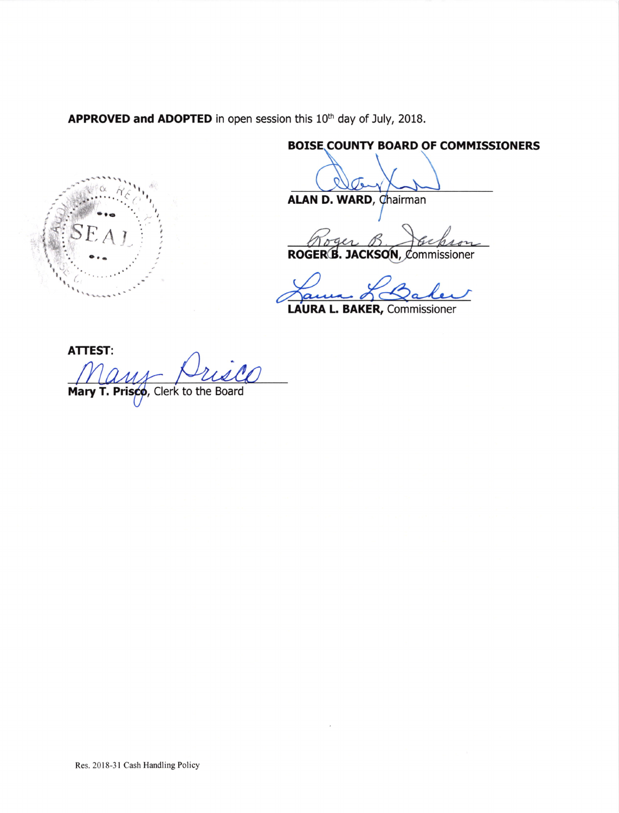APPROVED and ADOPTED in open session this 10<sup>th</sup> day of July, 2018.



**BOISE COUNTY BOARD OF COMMISSIONERS** 

ALAN D. WARD, Chairman

ROGER<sup>B</sup>. JACKSON, Commissioner

 $\boldsymbol{\alpha}$ LAURA L. BAKER, Commissioner

**ATTEST:** 

Mary T. Prisco, Clerk to the Board